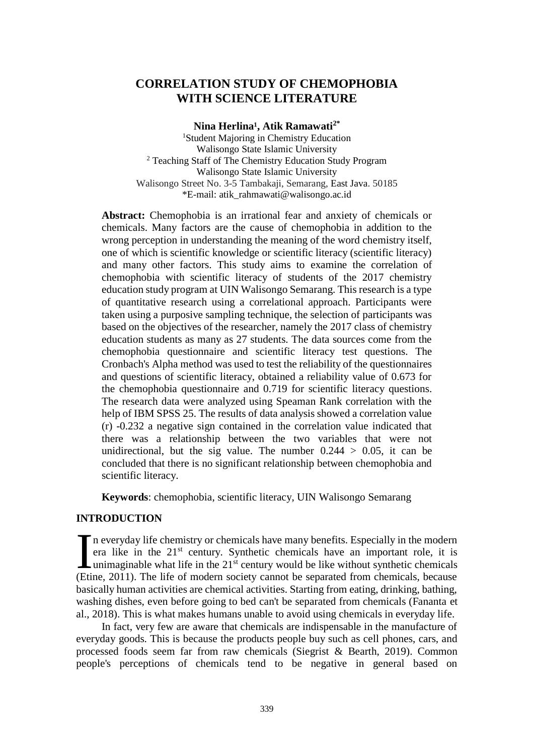# **CORRELATION STUDY OF CHEMOPHOBIA WITH SCIENCE LITERATURE**

**Nina Herlina¹, Atik Ramawati2\*** <sup>1</sup>Student Majoring in Chemistry Education Walisongo State Islamic University <sup>2</sup> Teaching Staff of The Chemistry Education Study Program Walisongo State Islamic University Walisongo Street No. 3-5 Tambakaji, Semarang, East Java. 50185 \*E-mail: [atik\\_rahmawati@walisongo.ac.id](mailto:atik_rahmawati@walisongo.ac.id)

**Abstract:** Chemophobia is an irrational fear and anxiety of chemicals or chemicals. Many factors are the cause of chemophobia in addition to the wrong perception in understanding the meaning of the word chemistry itself, one of which is scientific knowledge or scientific literacy (scientific literacy) and many other factors. This study aims to examine the correlation of chemophobia with scientific literacy of students of the 2017 chemistry education study program at UIN Walisongo Semarang. This research is a type of quantitative research using a correlational approach. Participants were taken using a purposive sampling technique, the selection of participants was based on the objectives of the researcher, namely the 2017 class of chemistry education students as many as 27 students. The data sources come from the chemophobia questionnaire and scientific literacy test questions. The Cronbach's Alpha method was used to test the reliability of the questionnaires and questions of scientific literacy, obtained a reliability value of 0.673 for the chemophobia questionnaire and 0.719 for scientific literacy questions. The research data were analyzed using Speaman Rank correlation with the help of IBM SPSS 25. The results of data analysis showed a correlation value (r) -0.232 a negative sign contained in the correlation value indicated that there was a relationship between the two variables that were not unidirectional, but the sig value. The number  $0.244 > 0.05$ , it can be concluded that there is no significant relationship between chemophobia and scientific literacy.

**Keywords**: chemophobia, scientific literacy, UIN Walisongo Semarang

## **INTRODUCTION**

n everyday life chemistry or chemicals have many benefits. Especially in the modern era like in the 21st century. Synthetic chemicals have an important role, it is unimaginable what life in the  $21<sup>st</sup>$  century would be like without synthetic chemicals In everyday life chemistry or chemicals have many benefits. Especially in the modern era like in the  $21<sup>st</sup>$  century. Synthetic chemicals have an important role, it is unimaginable what life in the  $21<sup>st</sup>$  century basically human activities are chemical activities. Starting from eating, drinking, bathing, washing dishes, even before going to bed can't be separated from chemicals (Fananta et al., 2018). This is what makes humans unable to avoid using chemicals in everyday life.

In fact, very few are aware that chemicals are indispensable in the manufacture of everyday goods. This is because the products people buy such as cell phones, cars, and processed foods seem far from raw chemicals (Siegrist & Bearth, 2019). Common people's perceptions of chemicals tend to be negative in general based on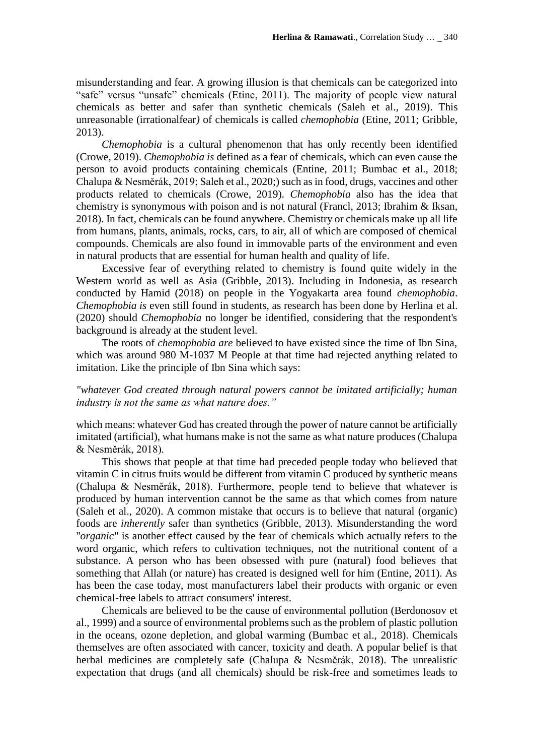misunderstanding and fear. A growing illusion is that chemicals can be categorized into "safe" versus "unsafe" chemicals (Etine, 2011). The majority of people view natural chemicals as better and safer than synthetic chemicals (Saleh et al., 2019). This unreasonable (irrationalfear*)* of chemicals is called *chemophobia* (Etine, 2011; Gribble, 2013).

*Chemophobia* is a cultural phenomenon that has only recently been identified (Crowe, 2019). *Chemophobia is* defined as a fear of chemicals, which can even cause the person to avoid products containing chemicals (Entine, 2011; Bumbac et al., 2018; Chalupa & Nesměrák, 2019; Saleh et al., 2020;) such as in food, drugs, vaccines and other products related to chemicals (Crowe, 2019). *Chemophobia* also has the idea that chemistry is synonymous with poison and is not natural (Francl, 2013; Ibrahim & Iksan, 2018). In fact, chemicals can be found anywhere. Chemistry or chemicals make up all life from humans, plants, animals, rocks, cars, to air, all of which are composed of chemical compounds. Chemicals are also found in immovable parts of the environment and even in natural products that are essential for human health and quality of life.

Excessive fear of everything related to chemistry is found quite widely in the Western world as well as Asia (Gribble, 2013). Including in Indonesia, as research conducted by Hamid (2018) on people in the Yogyakarta area found *chemophobia*. *Chemophobia is* even still found in students, as research has been done by Herlina et al. (2020) should *Chemophobia* no longer be identified, considering that the respondent's background is already at the student level.

The roots of *chemophobia are* believed to have existed since the time of Ibn Sina, which was around 980 M-1037 M People at that time had rejected anything related to imitation. Like the principle of Ibn Sina which says:

### *"whatever God created through natural powers cannot be imitated artificially; human industry is not the same as what nature does."*

which means: whatever God has created through the power of nature cannot be artificially imitated (artificial), what humans make is not the same as what nature produces (Chalupa & Nesměrák, 2018)*.*

This shows that people at that time had preceded people today who believed that vitamin C in citrus fruits would be different from vitamin C produced by synthetic means (Chalupa & Nesměrák, 2018). Furthermore, people tend to believe that whatever is produced by human intervention cannot be the same as that which comes from nature (Saleh et al., 2020). A common mistake that occurs is to believe that natural (organic) foods are *inherently* safer than synthetics (Gribble, 2013). Misunderstanding the word "*organic*" is another effect caused by the fear of chemicals which actually refers to the word organic, which refers to cultivation techniques, not the nutritional content of a substance. A person who has been obsessed with pure (natural) food believes that something that Allah (or nature) has created is designed well for him (Entine, 2011). As has been the case today, most manufacturers label their products with organic or even chemical-free labels to attract consumers' interest.

Chemicals are believed to be the cause of environmental pollution (Berdonosov et al., 1999) and a source of environmental problems such as the problem of plastic pollution in the oceans, ozone depletion, and global warming (Bumbac et al., 2018). Chemicals themselves are often associated with cancer, toxicity and death. A popular belief is that herbal medicines are completely safe (Chalupa & Nesměrák, 2018). The unrealistic expectation that drugs (and all chemicals) should be risk-free and sometimes leads to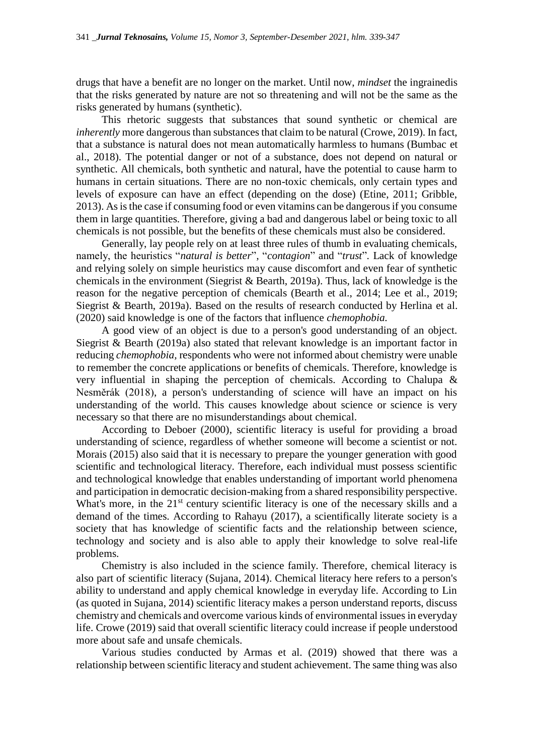drugs that have a benefit are no longer on the market. Until now, *mindset* the ingrainedis that the risks generated by nature are not so threatening and will not be the same as the risks generated by humans (synthetic).

This rhetoric suggests that substances that sound synthetic or chemical are *inherently* more dangerous than substances that claim to be natural (Crowe, 2019). In fact, that a substance is natural does not mean automatically harmless to humans (Bumbac et al., 2018). The potential danger or not of a substance, does not depend on natural or synthetic. All chemicals, both synthetic and natural, have the potential to cause harm to humans in certain situations. There are no non-toxic chemicals, only certain types and levels of exposure can have an effect (depending on the dose) (Etine, 2011; Gribble, 2013). As is the case if consuming food or even vitamins can be dangerous if you consume them in large quantities. Therefore, giving a bad and dangerous label or being toxic to all chemicals is not possible, but the benefits of these chemicals must also be considered.

Generally, lay people rely on at least three rules of thumb in evaluating chemicals, namely, the heuristics "*natural is better*"*,* "*contagion*" and "*trust*"*.* Lack of knowledge and relying solely on simple heuristics may cause discomfort and even fear of synthetic chemicals in the environment (Siegrist & Bearth, 2019a). Thus, lack of knowledge is the reason for the negative perception of chemicals (Bearth et al., 2014; Lee et al*.*, 2019; Siegrist & Bearth, 2019a). Based on the results of research conducted by Herlina et al. (2020) said knowledge is one of the factors that influence *chemophobia.*

A good view of an object is due to a person's good understanding of an object. Siegrist & Bearth (2019a) also stated that relevant knowledge is an important factor in reducing *chemophobia,* respondents who were not informed about chemistry were unable to remember the concrete applications or benefits of chemicals. Therefore, knowledge is very influential in shaping the perception of chemicals. According to Chalupa & Nesměrák (2018), a person's understanding of science will have an impact on his understanding of the world. This causes knowledge about science or science is very necessary so that there are no misunderstandings about chemical.

According to Deboer (2000), scientific literacy is useful for providing a broad understanding of science, regardless of whether someone will become a scientist or not. Morais (2015) also said that it is necessary to prepare the younger generation with good scientific and technological literacy. Therefore, each individual must possess scientific and technological knowledge that enables understanding of important world phenomena and participation in democratic decision-making from a shared responsibility perspective. What's more, in the 21<sup>st</sup> century scientific literacy is one of the necessary skills and a demand of the times. According to Rahayu (2017), a scientifically literate society is a society that has knowledge of scientific facts and the relationship between science, technology and society and is also able to apply their knowledge to solve real-life problems.

Chemistry is also included in the science family. Therefore, chemical literacy is also part of scientific literacy (Sujana, 2014). Chemical literacy here refers to a person's ability to understand and apply chemical knowledge in everyday life. According to Lin (as quoted in Sujana, 2014) scientific literacy makes a person understand reports, discuss chemistry and chemicals and overcome various kinds of environmental issues in everyday life. Crowe (2019) said that overall scientific literacy could increase if people understood more about safe and unsafe chemicals.

Various studies conducted by Armas et al. (2019) showed that there was a relationship between scientific literacy and student achievement. The same thing was also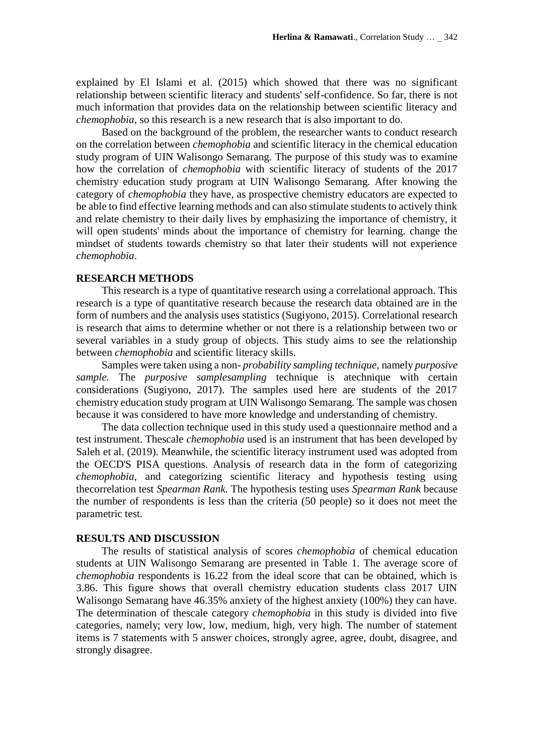explained by El Islami et al. (2015) which showed that there was no significant relationship between scientific literacy and students' self-confidence. So far, there is not much information that provides data on the relationship between scientific literacy and *chemophobia*, so this research is a new research that is also important to do.

Based on the background of the problem, the researcher wants to conduct research on the correlation between *chemophobia* and scientific literacy in the chemical education study program of UIN Walisongo Semarang. The purpose of this study was to examine how the correlation of *chemophobia* with scientific literacy of students of the 2017 chemistry education study program at UIN Walisongo Semarang. After knowing the category of *chemophobia* they have, as prospective chemistry educators are expected to be able to find effective learning methods and can also stimulate students to actively think and relate chemistry to their daily lives by emphasizing the importance of chemistry, it will open students' minds about the importance of chemistry for learning. change the mindset of students towards chemistry so that later their students will not experience *chemophobia*.

#### **RESEARCH METHODS**

This research is a type of quantitative research using a correlational approach. This research is a type of quantitative research because the research data obtained are in the form of numbers and the analysis uses statistics (Sugiyono, 2015). Correlational research is research that aims to determine whether or not there is a relationship between two or several variables in a study group of objects. This study aims to see the relationship between *chemophobia* and scientific literacy skills.

Samples were taken using a non- *probability sampling technique,* namely *purposive sample.* The *purposive samplesampling* technique is atechnique with certain considerations (Sugiyono, 2017). The samples used here are students of the 2017 chemistry education study program at UIN Walisongo Semarang. The sample was chosen because it was considered to have more knowledge and understanding of chemistry.

The data collection technique used in this study used a questionnaire method and a test instrument. Thescale *chemophobia* used is an instrument that has been developed by Saleh et al. (2019). Meanwhile, the scientific literacy instrument used was adopted from the OECD'S PISA questions. Analysis of research data in the form of categorizing *chemophobia*, and categorizing scientific literacy and hypothesis testing using thecorrelation test *Spearman Rank.* The hypothesis testing uses *Spearman Rank* because the number of respondents is less than the criteria (50 people) so it does not meet the parametric test.

### **RESULTS AND DISCUSSION**

The results of statistical analysis of scores *chemophobia* of chemical education students at UIN Walisongo Semarang are presented in Table 1. The average score of *chemophobia* respondents is 16.22 from the ideal score that can be obtained, which is 3.86. This figure shows that overall chemistry education students class 2017 UIN Walisongo Semarang have 46.35% anxiety of the highest anxiety (100%) they can have. The determination of thescale category *chemophobia* in this study is divided into five categories, namely; very low, low, medium, high, very high. The number of statement items is 7 statements with 5 answer choices, strongly agree, agree, doubt, disagree, and strongly disagree.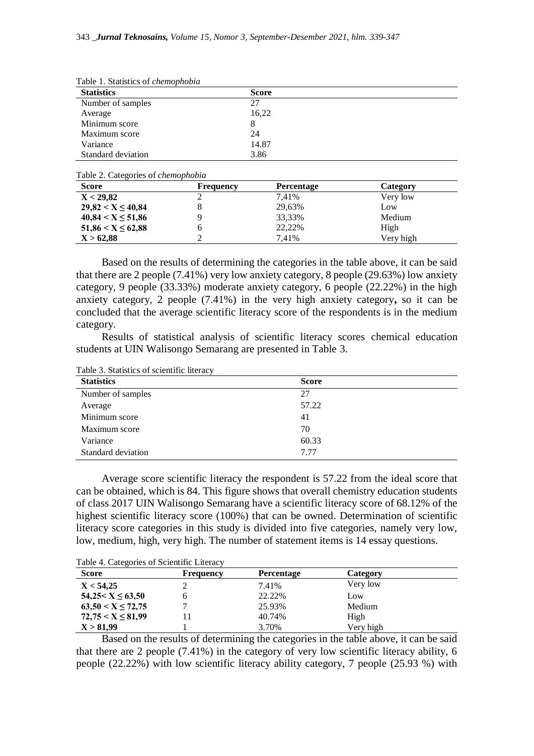| Tuble 1: Buttheles of chemophobia |              |  |  |
|-----------------------------------|--------------|--|--|
| <b>Statistics</b>                 | <b>Score</b> |  |  |
| Number of samples                 | 27           |  |  |
| Average                           | 16,22        |  |  |
| Minimum score                     | 8            |  |  |
| Maximum score                     | 24           |  |  |
| Variance                          | 14.87        |  |  |
| Standard deviation                | 3.86         |  |  |
|                                   |              |  |  |

Table 1. Statistics of *chemophobia*

Table 2. Categories of *chemophobia*

| <b>Score</b>            | Frequency | <b>Percentage</b> | Category  |
|-------------------------|-----------|-------------------|-----------|
| X < 29,82               |           | 7.41%             | Very low  |
| $29,82 < X \leq 40,84$  |           | 29,63%            | Low       |
| $40,84 \le X \le 51,86$ |           | 33,33%            | Medium    |
| $51,86 \le X \le 62,88$ |           | 22,22%            | High      |
| X > 62,88               |           | 7.41%             | Very high |

Based on the results of determining the categories in the table above, it can be said that there are 2 people (7.41%) very low anxiety category, 8 people (29.63%) low anxiety category, 9 people (33.33%) moderate anxiety category, 6 people (22.22%) in the high anxiety category, 2 people (7.41%) in the very high anxiety category**,** so it can be concluded that the average scientific literacy score of the respondents is in the medium category.

Results of statistical analysis of scientific literacy scores chemical education students at UIN Walisongo Semarang are presented in Table 3.

Table 3. Statistics of scientific literacy

| <b>Statistics</b>  | <b>Score</b> |
|--------------------|--------------|
| Number of samples  | 27           |
| Average            | 57.22        |
| Minimum score      | 41           |
| Maximum score      | 70           |
| Variance           | 60.33        |
| Standard deviation | 7.77         |

Average score scientific literacy the respondent is 57.22 from the ideal score that can be obtained, which is 84. This figure shows that overall chemistry education students of class 2017 UIN Walisongo Semarang have a scientific literacy score of 68.12% of the highest scientific literacy score (100%) that can be owned. Determination of scientific literacy score categories in this study is divided into five categories, namely very low, low, medium, high, very high. The number of statement items is 14 essay questions.

| <b>Score</b>           | Frequency | <b>Percentage</b> | <b>Category</b> |  |
|------------------------|-----------|-------------------|-----------------|--|
| X < 54,25              |           | 7.41%             | Very low        |  |
| $54,25 < X \leq 63,50$ |           | 22.22\%           | Low             |  |
| $63,50 < X \le 72,75$  |           | 25.93%            | Medium          |  |
| $72,75 < X \leq 81,99$ |           | 40.74%            | High            |  |
| X > 81,99              |           | 3.70%             | Very high       |  |

Based on the results of determining the categories in the table above, it can be said that there are 2 people (7.41%) in the category of very low scientific literacy ability, 6 people (22.22%) with low scientific literacy ability category, 7 people (25.93 %) with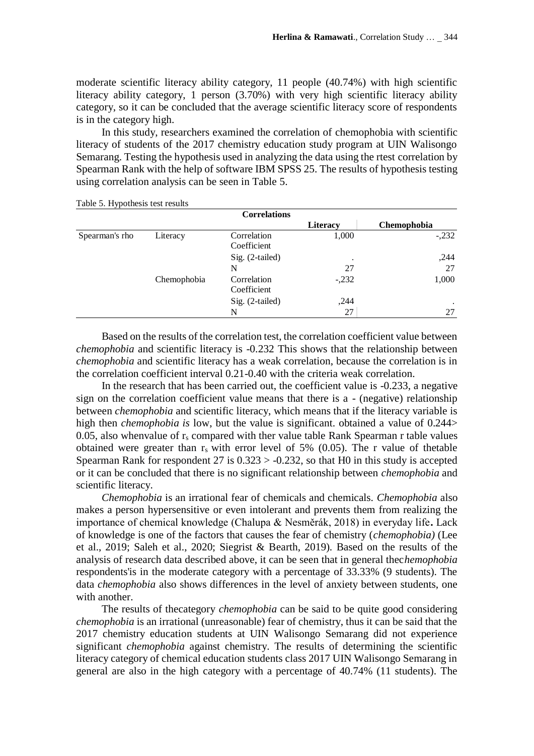moderate scientific literacy ability category, 11 people (40.74%) with high scientific literacy ability category, 1 person (3.70%) with very high scientific literacy ability category, so it can be concluded that the average scientific literacy score of respondents is in the category high.

In this study, researchers examined the correlation of chemophobia with scientific literacy of students of the 2017 chemistry education study program at UIN Walisongo Semarang. Testing the hypothesis used in analyzing the data using the rtest correlation by Spearman Rank with the help of software IBM SPSS 25. The results of hypothesis testing using correlation analysis can be seen in Table 5.

|  | Table 5. Hypothesis test results |  |
|--|----------------------------------|--|
|--|----------------------------------|--|

| . .            |             | <b>Correlations</b>        |          |             |
|----------------|-------------|----------------------------|----------|-------------|
|                |             |                            | Literacy | Chemophobia |
| Spearman's rho | Literacy    | Correlation<br>Coefficient | 1,000    | $-.232$     |
|                |             | Sig. (2-tailed)            | ٠        | ,244        |
|                |             | N                          | 27       | 27          |
|                | Chemophobia | Correlation<br>Coefficient | $-.232$  | 1,000       |
|                |             | Sig. (2-tailed)            | ,244     | ٠           |
|                |             | N                          | 27       | 27          |

Based on the results of the correlation test, the correlation coefficient value between *chemophobia* and scientific literacy is -0.232 This shows that the relationship between *chemophobia* and scientific literacy has a weak correlation, because the correlation is in the correlation coefficient interval 0.21-0.40 with the criteria weak correlation.

In the research that has been carried out, the coefficient value is -0.233, a negative sign on the correlation coefficient value means that there is a - (negative) relationship between *chemophobia* and scientific literacy, which means that if the literacy variable is high then *chemophobia is* low, but the value is significant. obtained a value of 0.244> 0.05, also whenvalue of  $r_s$  compared with ther value table Rank Spearman r table values obtained were greater than  $r_s$  with error level of 5% (0.05). The r value of thetable Spearman Rank for respondent 27 is  $0.323 > -0.232$ , so that H0 in this study is accepted or it can be concluded that there is no significant relationship between *chemophobia* and scientific literacy.

*Chemophobia* is an irrational fear of chemicals and chemicals. *Chemophobia* also makes a person hypersensitive or even intolerant and prevents them from realizing the importance of chemical knowledge (Chalupa & Nesměrák, 2018) in everyday life**.** Lack of knowledge is one of the factors that causes the fear of chemistry (*chemophobia)* (Lee et al., 2019; Saleh et al., 2020; Siegrist & Bearth, 2019)*.* Based on the results of the analysis of research data described above, it can be seen that in general thec*hemophobia*  respondents'is in the moderate category with a percentage of 33.33% (9 students). The data *chemophobia* also shows differences in the level of anxiety between students, one with another.

The results of thecategory *chemophobia* can be said to be quite good considering *chemophobia* is an irrational (unreasonable) fear of chemistry, thus it can be said that the 2017 chemistry education students at UIN Walisongo Semarang did not experience significant *chemophobia* against chemistry. The results of determining the scientific literacy category of chemical education students class 2017 UIN Walisongo Semarang in general are also in the high category with a percentage of 40.74% (11 students). The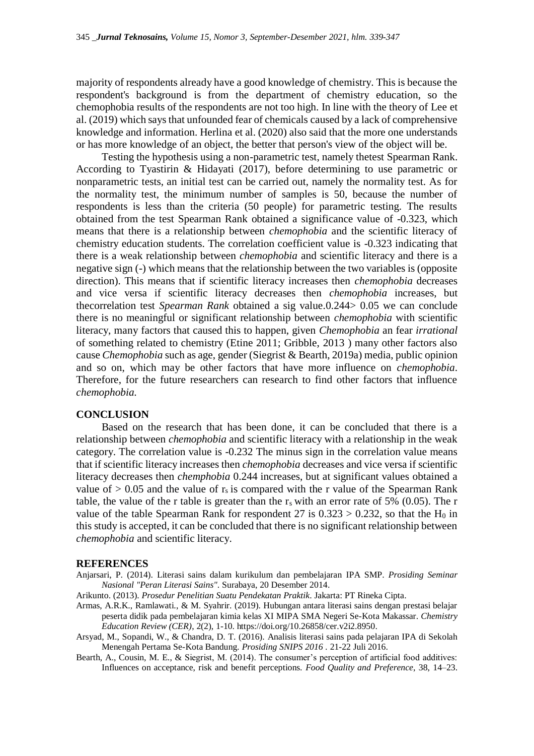majority of respondents already have a good knowledge of chemistry. This is because the respondent's background is from the department of chemistry education, so the chemophobia results of the respondents are not too high. In line with the theory of Lee et al. (2019) which says that unfounded fear of chemicals caused by a lack of comprehensive knowledge and information. Herlina et al. (2020) also said that the more one understands or has more knowledge of an object, the better that person's view of the object will be.

Testing the hypothesis using a non-parametric test, namely thetest Spearman Rank. According to Tyastirin & Hidayati (2017), before determining to use parametric or nonparametric tests, an initial test can be carried out, namely the normality test. As for the normality test, the minimum number of samples is 50, because the number of respondents is less than the criteria (50 people) for parametric testing. The results obtained from the test Spearman Rank obtained a significance value of -0.323, which means that there is a relationship between *chemophobia* and the scientific literacy of chemistry education students. The correlation coefficient value is -0.323 indicating that there is a weak relationship between *chemophobia* and scientific literacy and there is a negative sign (-) which means that the relationship between the two variables is (opposite direction). This means that if scientific literacy increases then *chemophobia* decreases and vice versa if scientific literacy decreases then *chemophobia* increases, but thecorrelation test *Spearman Rank* obtained a sig value.0.244> 0.05 we can conclude there is no meaningful or significant relationship between *chemophobia* with scientific literacy, many factors that caused this to happen, given *Chemophobia* an fear *irrational*  of something related to chemistry (Etine 2011; Gribble, 2013 ) many other factors also cause *Chemophobia* such as age, gender (Siegrist & Bearth, 2019a) media, public opinion and so on, which may be other factors that have more influence on *chemophobia*. Therefore, for the future researchers can research to find other factors that influence *chemophobia.*

### **CONCLUSION**

Based on the research that has been done, it can be concluded that there is a relationship between *chemophobia* and scientific literacy with a relationship in the weak category. The correlation value is -0.232 The minus sign in the correlation value means that if scientific literacy increases then *chemophobia* decreases and vice versa if scientific literacy decreases then *chemphobia* 0.244 increases, but at significant values obtained a value of  $> 0.05$  and the value of r<sub>s</sub> is compared with the r value of the Spearman Rank table, the value of the r table is greater than the  $r_s$  with an error rate of 5% (0.05). The r value of the table Spearman Rank for respondent 27 is  $0.323 > 0.232$ , so that the H<sub>0</sub> in this study is accepted, it can be concluded that there is no significant relationship between *chemophobia* and scientific literacy.

#### **REFERENCES**

- Anjarsari, P. (2014). Literasi sains dalam kurikulum dan pembelajaran IPA SMP. *Prosiding Seminar Nasional "Peran Literasi Sains"*. Surabaya, 20 Desember 2014.
- Arikunto. (2013). *Prosedur Penelitian Suatu Pendekatan Praktik*. Jakarta: PT Rineka Cipta.
- Armas, A.R.K., Ramlawati., & M. Syahrir. (2019). Hubungan antara literasi sains dengan prestasi belajar peserta didik pada pembelajaran kimia kelas XI MIPA SMA Negeri Se-Kota Makassar. *Chemistry Education Review (CER)*, 2(2), 1-10. https://doi.org/10.26858/cer.v2i2.8950.
- Arsyad, M., Sopandi, W., & Chandra, D. T. (2016). Analisis literasi sains pada pelajaran IPA di Sekolah Menengah Pertama Se-Kota Bandung*. Prosiding SNIPS 2016 .* 21-22 Juli 2016.
- Bearth, A., Cousin, M. E., & Siegrist, M. (2014). The consumer's perception of artificial food additives: Influences on acceptance, risk and benefit perceptions. *Food Quality and Preference*, 38, 14–23.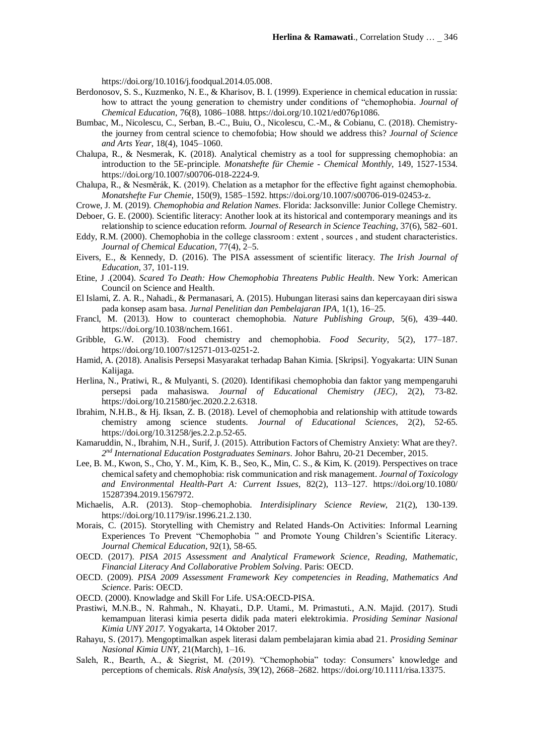https://doi.org/10.1016/j.foodqual.2014.05.008.

- Berdonosov, S. S., Kuzmenko, N. E., & Kharisov, B. I. (1999). Experience in chemical education in russia: how to attract the young generation to chemistry under conditions of "chemophobia. *Journal of Chemical Education*, 76(8), 1086–1088. https://doi.org/10.1021/ed076p1086.
- Bumbac, M., Nicolescu, C., Serban, B.-C., Buiu, O., Nicolescu, C.-M., & Cobianu, C. (2018). Chemistrythe journey from central science to chemofobia; How should we address this? *Journal of Science and Arts Year*, 18(4), 1045–1060.
- Chalupa, R., & Nesmerak, K. (2018). Analytical chemistry as a tool for suppressing chemophobia: an introduction to the 5E-principle*. Monatshefte für Chemie - Chemical Monthly*, 149, 1527-1534. https://doi.org/10.1007/s00706-018-2224-9.
- Chalupa, R., & Nesměrák, K. (2019). Chelation as a metaphor for the effective fight against chemophobia. *Monatshefte Fur Chemie*, 150(9), 1585–1592. https://doi.org/10.1007/s00706-019-02453-z.
- Crowe, J. M. (2019). *Chemophobia and Relation Names*. Florida: Jacksonville: Junior College Chemistry.
- Deboer, G. E. (2000). Scientific literacy: Another look at its historical and contemporary meanings and its relationship to science education reform. *Journal of Research in Science Teaching*, 37(6), 582–601.
- Eddy, R.M. (2000). Chemophobia in the college classroom : extent, sources, and student characteristics. *Journal of Chemical Education*, 77(4), 2–5.
- Eivers, E., & Kennedy, D. (2016). The PISA assessment of scientific literacy. *The Irish Journal of Education*, 37, 101-119.
- Etine, J .(2004). *Scared To Death: How Chemophobia Threatens Public Health*. New York: American Council on Science and Health.
- El Islami, Z. A. R., Nahadi., & Permanasari, A. (2015). Hubungan literasi sains dan kepercayaan diri siswa pada konsep asam basa. *Jurnal Penelitian dan Pembelajaran IPA*, 1(1), 16–25.
- Francl, M. (2013). How to counteract chemophobia. *Nature Publishing Group*, 5(6), 439–440. https://doi.org/10.1038/nchem.1661.
- Gribble, G.W. (2013). Food chemistry and chemophobia. *Food Security*, 5(2), 177–187. https://doi.org/10.1007/s12571-013-0251-2.
- Hamid, A. (2018). Analisis Persepsi Masyarakat terhadap Bahan Kimia. [Skripsi]. Yogyakarta: UIN Sunan Kalijaga.
- Herlina, N., Pratiwi, R., & Mulyanti, S. (2020). Identifikasi chemophobia dan faktor yang mempengaruhi persepsi pada mahasiswa. *Journal of Educational Chemistry (JEC)*, 2(2), 73-82. https://doi.org/10.21580/jec.2020.2.2.6318.
- Ibrahim, N.H.B., & Hj. Iksan, Z. B. (2018). Level of chemophobia and relationship with attitude towards chemistry among science students. *Journal of Educational Sciences*, 2(2), 52-65. https://doi.org/10.31258/jes.2.2.p.52-65.
- Kamaruddin, N., Ibrahim, N.H., Surif, J. (2015). Attribution Factors of Chemistry Anxiety: What are they?. *2 nd International Education Postgraduates Seminars*. Johor Bahru, 20-21 December, 2015.
- Lee, B. M., Kwon, S., Cho, Y. M., Kim, K. B., Seo, K., Min, C. S., & Kim, K. (2019). Perspectives on trace chemical safety and chemophobia: risk communication and risk management. *Journal of Toxicology and Environmental Health-Part A: Current Issues*, 82(2), 113–127. https://doi.org/10.1080/ 15287394.2019.1567972.
- Michaelis, A.R. (2013). Stop–chemophobia. *Interdisiplinary Science Review*, 21(2), 130-139. https://doi.org/10.1179/isr.1996.21.2.130.
- Morais, C. (2015). Storytelling with Chemistry and Related Hands-On Activities: Informal Learning Experiences To Prevent "Chemophobia " and Promote Young Children's Scientific Literacy. *Journal Chemical Education*, 92(1), 58-65.
- OECD. (2017). *PISA 2015 Assessment and Analytical Framework Science, Reading, Mathematic, Financial Literacy And Collaborative Problem Solving*. Paris: OECD.
- OECD. (2009). *PISA 2009 Assessment Framework Key competencies in Reading, Mathematics And Science*. Paris: OECD.
- OECD. (2000). Knowladge and Skill For Life. USA:OECD-PISA.
- Prastiwi, M.N.B., N. Rahmah., N. Khayati., D.P. Utami., M. Primastuti., A.N. Majid. (2017). Studi kemampuan literasi kimia peserta didik pada materi elektrokimia. *Prosiding Seminar Nasional Kimia UNY 2017.* Yogyakarta, 14 Oktober 2017.
- Rahayu, S. (2017). Mengoptimalkan aspek literasi dalam pembelajaran kimia abad 21. *Prosiding Seminar Nasional Kimia UNY*, 21(March), 1–16.
- Saleh, R., Bearth, A., & Siegrist, M. (2019). "Chemophobia" today: Consumers' knowledge and perceptions of chemicals. *Risk Analysis*, 39(12), 2668–2682. https://doi.org/10.1111/risa.13375.